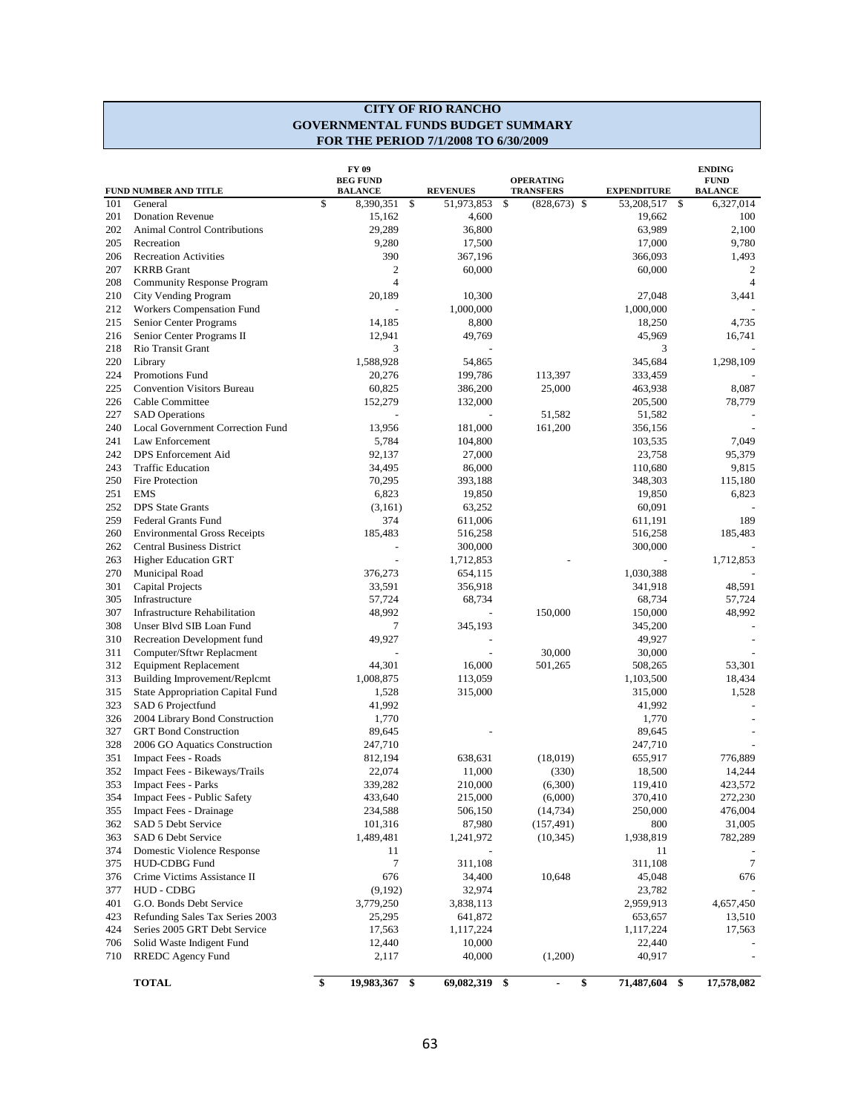#### **CITY OF RIO RANCHO GOVERNMENTAL FUNDS BUDGET SUMMARY FOR THE PERIOD 7/1/2008 TO 6/30/2009**

|     | FUND NUMBER AND TITLE                | FY 09<br><b>BEG FUND</b><br><b>BALANCE</b> | <b>REVENUES</b>     | <b>OPERATING</b><br><b>TRANSFERS</b> | <b>EXPENDITURE</b> |      | <b>ENDING</b><br><b>FUND</b><br><b>BALANCE</b> |
|-----|--------------------------------------|--------------------------------------------|---------------------|--------------------------------------|--------------------|------|------------------------------------------------|
| 101 | \$<br>General                        | 8,390,351                                  | \$<br>51,973,853    | \$<br>$(828, 673)$ \$                | 53,208,517         | - \$ | 6,327,014                                      |
| 201 | <b>Donation Revenue</b>              | 15,162                                     | 4,600               |                                      | 19,662             |      | 100                                            |
| 202 | <b>Animal Control Contributions</b>  | 29,289                                     | 36,800              |                                      | 63,989             |      | 2,100                                          |
| 205 | Recreation                           | 9,280                                      | 17,500              |                                      | 17,000             |      | 9,780                                          |
| 206 | <b>Recreation Activities</b>         | 390                                        | 367,196             |                                      | 366,093            |      | 1,493                                          |
| 207 | <b>KRRB</b> Grant                    | 2                                          | 60,000              |                                      | 60,000             |      | 2                                              |
| 208 | <b>Community Response Program</b>    | $\overline{4}$                             |                     |                                      |                    |      | $\overline{4}$                                 |
| 210 | City Vending Program                 | 20,189                                     | 10,300              |                                      | 27,048             |      | 3,441                                          |
| 212 | Workers Compensation Fund            |                                            | 1,000,000           |                                      | 1,000,000          |      |                                                |
| 215 | Senior Center Programs               | 14,185                                     | 8,800               |                                      | 18,250             |      | 4,735                                          |
| 216 | Senior Center Programs II            | 12,941                                     | 49,769              |                                      | 45,969             |      | 16,741                                         |
| 218 | Rio Transit Grant                    | 3                                          |                     |                                      | 3                  |      |                                                |
| 220 | Library                              | 1,588,928                                  | 54,865              |                                      | 345,684            |      | 1,298,109                                      |
| 224 | <b>Promotions Fund</b>               | 20,276                                     | 199,786             | 113,397                              | 333,459            |      |                                                |
| 225 | <b>Convention Visitors Bureau</b>    | 60,825                                     | 386,200             | 25,000                               | 463,938            |      | 8,087                                          |
| 226 | Cable Committee                      | 152,279                                    | 132,000             |                                      | 205,500            |      | 78,779                                         |
| 227 | <b>SAD</b> Operations                |                                            |                     | 51,582                               | 51,582             |      |                                                |
| 240 | Local Government Correction Fund     | 13,956                                     | 181,000             | 161,200                              | 356,156            |      |                                                |
| 241 | Law Enforcement                      | 5,784                                      | 104,800             |                                      | 103,535            |      | 7,049                                          |
| 242 | DPS Enforcement Aid                  | 92,137                                     | 27,000              |                                      | 23,758             |      | 95,379                                         |
| 243 | <b>Traffic Education</b>             | 34,495                                     | 86,000              |                                      | 110,680            |      | 9,815                                          |
| 250 | Fire Protection                      | 70,295                                     | 393,188             |                                      | 348,303            |      | 115,180                                        |
| 251 | <b>EMS</b>                           | 6,823                                      | 19,850              |                                      | 19,850             |      | 6,823                                          |
| 252 | <b>DPS</b> State Grants              | (3,161)                                    | 63,252              |                                      | 60,091             |      |                                                |
| 259 | <b>Federal Grants Fund</b>           | 374                                        | 611,006             |                                      | 611,191            |      | 189                                            |
| 260 | <b>Environmental Gross Receipts</b>  | 185,483                                    | 516,258             |                                      | 516,258            |      | 185,483                                        |
| 262 | <b>Central Business District</b>     |                                            | 300,000             |                                      | 300,000            |      |                                                |
| 263 | <b>Higher Education GRT</b>          |                                            | 1,712,853           |                                      |                    |      | 1,712,853                                      |
| 270 | Municipal Road                       | 376,273                                    | 654,115             |                                      | 1,030,388          |      |                                                |
| 301 | Capital Projects                     | 33,591                                     | 356,918             |                                      | 341,918            |      | 48,591                                         |
| 305 | Infrastructure                       | 57,724                                     | 68,734              |                                      | 68,734             |      | 57,724                                         |
| 307 | <b>Infrastructure Rehabilitation</b> | 48,992                                     |                     | 150,000                              | 150,000            |      | 48,992                                         |
| 308 | Unser Blvd SIB Loan Fund             | 7                                          | 345,193             |                                      | 345,200            |      |                                                |
| 310 | Recreation Development fund          | 49,927                                     |                     |                                      | 49,927             |      |                                                |
| 311 | Computer/Sftwr Replacment            |                                            |                     | 30,000                               | 30,000             |      |                                                |
| 312 | <b>Equipment Replacement</b>         | 44,301                                     | 16,000              | 501,265                              | 508,265            |      | 53,301                                         |
| 313 | Building Improvement/Replcmt         | 1,008,875                                  | 113,059             |                                      | 1,103,500          |      | 18,434                                         |
| 315 | State Appropriation Capital Fund     | 1,528                                      | 315,000             |                                      | 315,000            |      | 1,528                                          |
| 323 | SAD 6 Projectfund                    | 41,992                                     |                     |                                      | 41,992             |      |                                                |
| 326 | 2004 Library Bond Construction       | 1,770                                      |                     |                                      | 1,770              |      |                                                |
| 327 |                                      |                                            |                     |                                      |                    |      |                                                |
|     | <b>GRT</b> Bond Construction         | 89,645                                     |                     |                                      | 89,645             |      |                                                |
| 328 | 2006 GO Aquatics Construction        | 247,710                                    |                     |                                      | 247,710            |      |                                                |
| 351 | <b>Impact Fees - Roads</b>           | 812,194                                    | 638,631             | (18,019)                             | 655,917            |      | 776,889                                        |
| 352 | Impact Fees - Bikeways/Trails        | 22,074                                     | 11,000              | (330)                                | 18,500             |      | 14,244                                         |
| 353 | <b>Impact Fees - Parks</b>           | 339.282                                    | 210,000             | (6,300)                              | 119,410            |      | 423,572                                        |
| 354 | Impact Fees - Public Safety          | 433,640                                    | 215,000             | (6,000)                              | 370,410            |      | 272,230                                        |
| 355 | <b>Impact Fees - Drainage</b>        | 234,588                                    | 506,150             | (14, 734)                            | 250,000            |      | 476,004                                        |
| 362 | SAD 5 Debt Service                   | 101,316                                    | 87,980              | (157, 491)                           | 800                |      | 31,005                                         |
| 363 | SAD 6 Debt Service                   | 1,489,481                                  | 1,241,972           | (10, 345)                            | 1,938,819          |      | 782,289                                        |
| 374 | Domestic Violence Response           | 11                                         |                     |                                      | 11                 |      |                                                |
| 375 | <b>HUD-CDBG Fund</b>                 | 7                                          | 311,108             |                                      | 311,108            |      | 7                                              |
| 376 | Crime Victims Assistance II          | 676                                        | 34,400              | 10,648                               | 45,048             |      | 676                                            |
| 377 | HUD - CDBG                           | (9,192)                                    | 32,974              |                                      | 23,782             |      |                                                |
| 401 | G.O. Bonds Debt Service              | 3,779,250                                  | 3,838,113           |                                      | 2,959,913          |      | 4,657,450                                      |
| 423 | Refunding Sales Tax Series 2003      | 25,295                                     | 641,872             |                                      | 653,657            |      | 13,510                                         |
| 424 | Series 2005 GRT Debt Service         | 17,563                                     | 1,117,224           |                                      | 1,117,224          |      | 17,563                                         |
| 706 | Solid Waste Indigent Fund            | 12,440                                     | 10,000              |                                      | 22,440             |      |                                                |
| 710 | RREDC Agency Fund                    | 2,117                                      | 40,000              | (1,200)                              | 40,917             |      |                                                |
|     | \$<br><b>TOTAL</b>                   | 19,983,367                                 | \$<br>69,082,319 \$ | ä,                                   | \$<br>71,487,604   | \$   | 17,578,082                                     |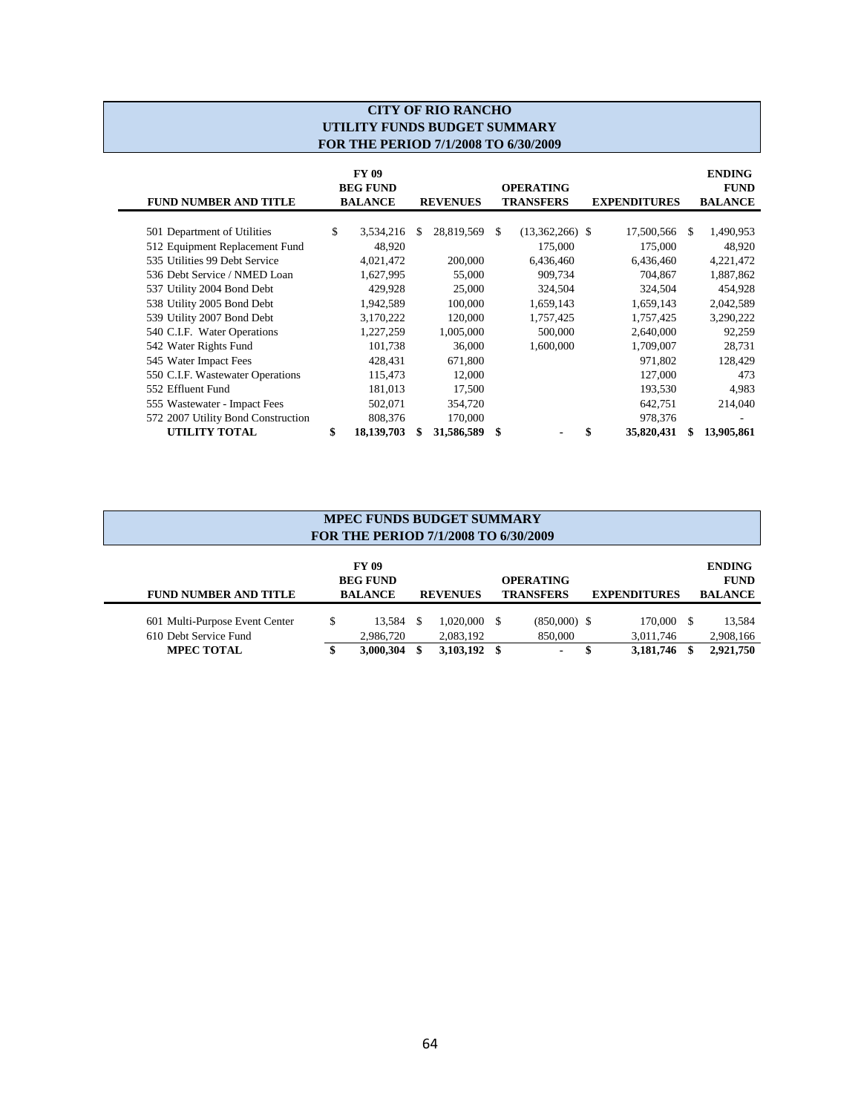## **CITY OF RIO RANCHO UTILITY FUNDS BUDGET SUMMARY FOR THE PERIOD 7/1/2008 TO 6/30/2009**

| <b>FUND NUMBER AND TITLE</b>       | <b>FY 09</b><br><b>BEG FUND</b><br><b>BALANCE</b><br><b>REVENUES</b> |            | <b>OPERATING</b><br><b>TRANSFERS</b><br><b>EXPENDITURES</b> |            |     |                   | <b>ENDING</b><br><b>FUND</b><br><b>BALANCE</b> |            |          |            |
|------------------------------------|----------------------------------------------------------------------|------------|-------------------------------------------------------------|------------|-----|-------------------|------------------------------------------------|------------|----------|------------|
|                                    | \$                                                                   |            | \$.                                                         | 28,819,569 | \$. |                   |                                                | 17,500,566 | <b>S</b> |            |
| 501 Department of Utilities        |                                                                      | 3,534,216  |                                                             |            |     | $(13,362,266)$ \$ |                                                |            |          | 1,490,953  |
| 512 Equipment Replacement Fund     |                                                                      | 48.920     |                                                             |            |     | 175,000           |                                                | 175,000    |          | 48,920     |
| 535 Utilities 99 Debt Service      |                                                                      | 4,021,472  |                                                             | 200,000    |     | 6,436,460         |                                                | 6,436,460  |          | 4,221,472  |
| 536 Debt Service / NMED Loan       |                                                                      | 1,627,995  |                                                             | 55,000     |     | 909,734           |                                                | 704,867    |          | 1,887,862  |
| 537 Utility 2004 Bond Debt         |                                                                      | 429.928    |                                                             | 25,000     |     | 324,504           |                                                | 324,504    |          | 454,928    |
| 538 Utility 2005 Bond Debt         |                                                                      | 1,942,589  |                                                             | 100,000    |     | 1,659,143         |                                                | 1,659,143  |          | 2,042,589  |
| 539 Utility 2007 Bond Debt         |                                                                      | 3,170,222  |                                                             | 120,000    |     | 1,757,425         |                                                | 1,757,425  |          | 3,290,222  |
| 540 C.I.F. Water Operations        |                                                                      | 1,227,259  |                                                             | 1,005,000  |     | 500,000           |                                                | 2,640,000  |          | 92,259     |
| 542 Water Rights Fund              |                                                                      | 101,738    |                                                             | 36,000     |     | 1,600,000         |                                                | 1,709,007  |          | 28,731     |
| 545 Water Impact Fees              |                                                                      | 428,431    |                                                             | 671,800    |     |                   |                                                | 971,802    |          | 128,429    |
| 550 C.I.F. Wastewater Operations   |                                                                      | 115,473    |                                                             | 12,000     |     |                   |                                                | 127,000    |          | 473        |
| 552 Effluent Fund                  |                                                                      | 181,013    |                                                             | 17,500     |     |                   |                                                | 193,530    |          | 4.983      |
| 555 Wastewater - Impact Fees       |                                                                      | 502,071    |                                                             | 354,720    |     |                   |                                                | 642,751    |          | 214,040    |
| 572 2007 Utility Bond Construction |                                                                      | 808,376    |                                                             | 170,000    |     |                   |                                                | 978,376    |          | ٠          |
| UTILITY TOTAL                      | \$                                                                   | 18,139,703 |                                                             | 31,586,589 | \$  |                   |                                                | 35,820,431 |          | 13,905,861 |

| <b>MPEC FUNDS BUDGET SUMMARY</b><br>FOR THE PERIOD 7/1/2008 TO 6/30/2009 |    |                                            |  |                             |  |                                      |  |                         |  |                                                |
|--------------------------------------------------------------------------|----|--------------------------------------------|--|-----------------------------|--|--------------------------------------|--|-------------------------|--|------------------------------------------------|
| <b>FUND NUMBER AND TITLE</b>                                             |    | FY 09<br><b>BEG FUND</b><br><b>BALANCE</b> |  | <b>REVENUES</b>             |  | <b>OPERATING</b><br><b>TRANSFERS</b> |  | <b>EXPENDITURES</b>     |  | <b>ENDING</b><br><b>FUND</b><br><b>BALANCE</b> |
| 601 Multi-Purpose Event Center<br>610 Debt Service Fund                  | \$ | 13.584 \$<br>2,986,720                     |  | $1,020,000$ \$<br>2,083,192 |  | $(850,000)$ \$<br>850,000            |  | 170,000 \$<br>3,011,746 |  | 13,584<br>2,908,166                            |
| <b>MPEC TOTAL</b>                                                        |    | 3,000,304                                  |  | 3,103,192 \$                |  |                                      |  | 3,181,746               |  | 2,921,750                                      |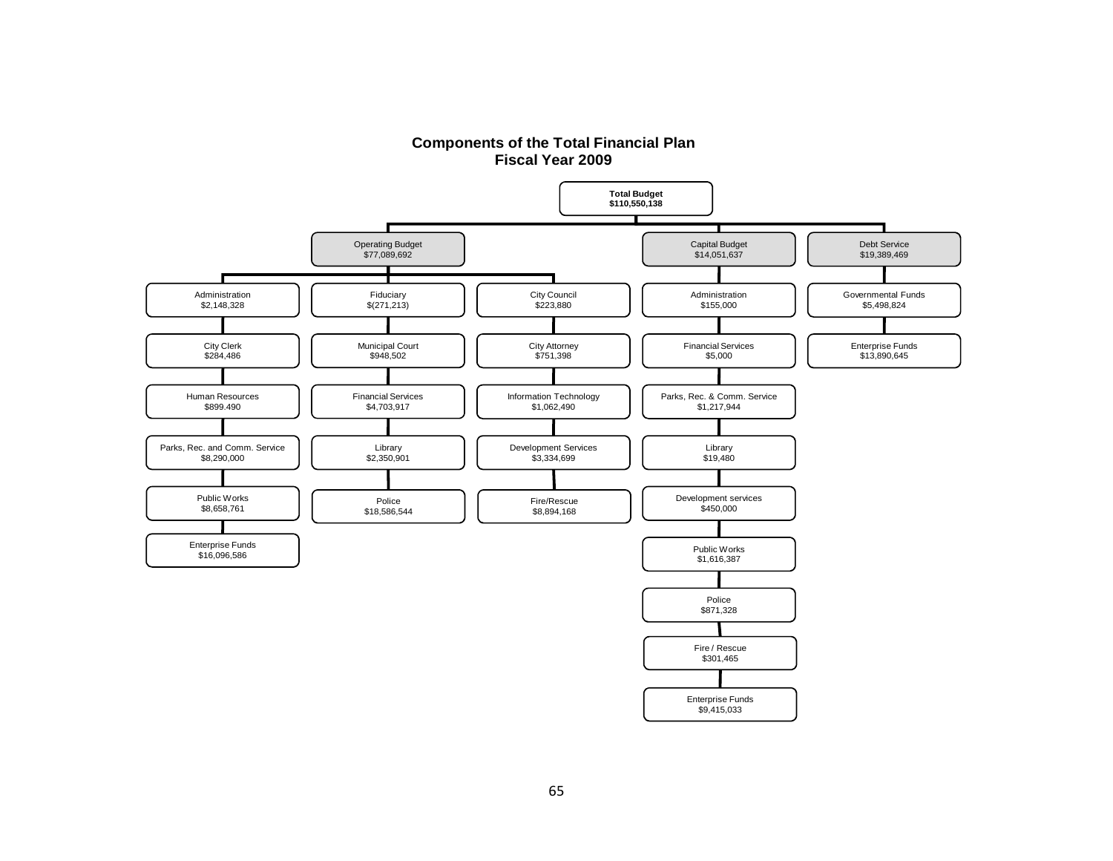

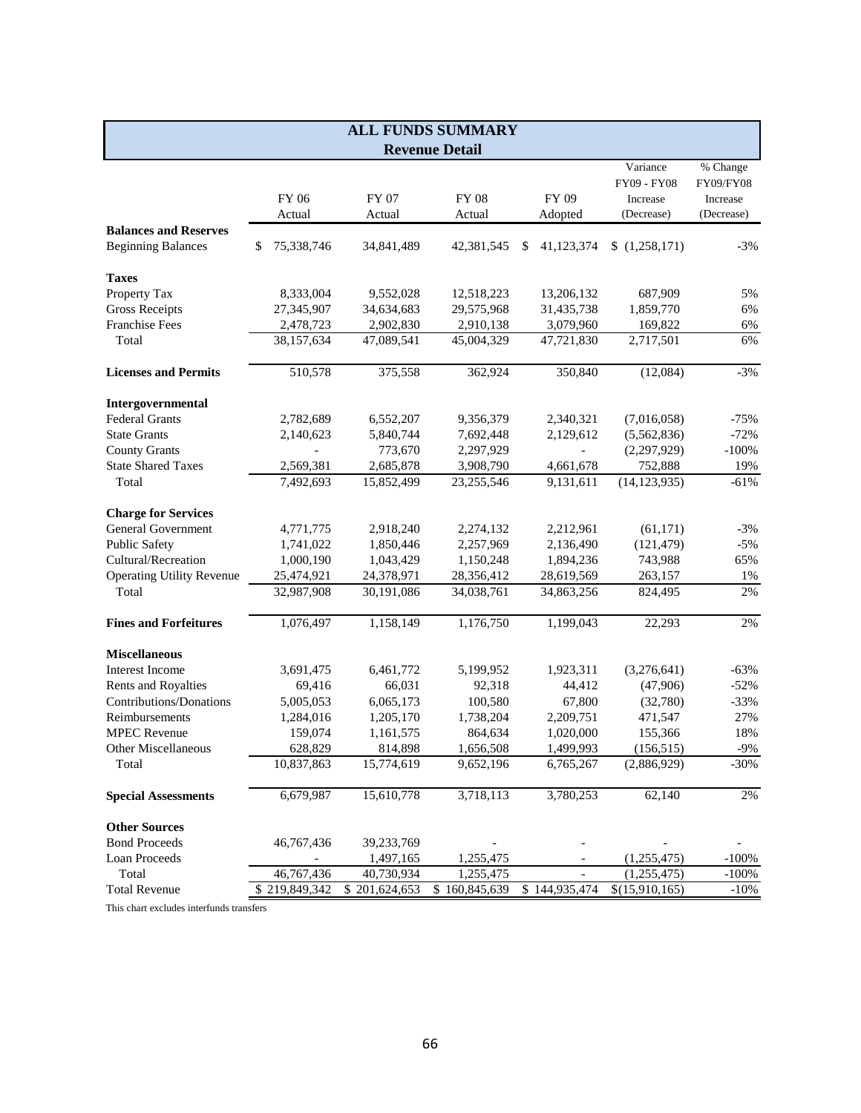|                                  | <b>ALL FUNDS SUMMARY</b> |               |                       |                 |                          |            |  |  |  |
|----------------------------------|--------------------------|---------------|-----------------------|-----------------|--------------------------|------------|--|--|--|
|                                  |                          |               | <b>Revenue Detail</b> |                 |                          |            |  |  |  |
|                                  |                          |               |                       |                 | Variance                 | % Change   |  |  |  |
|                                  |                          |               |                       |                 | FY09 - FY08              | FY09/FY08  |  |  |  |
|                                  | FY 06                    | FY 07         | <b>FY 08</b>          | FY 09           | Increase                 | Increase   |  |  |  |
|                                  | Actual                   | Actual        | Actual                | Adopted         | (Decrease)               | (Decrease) |  |  |  |
| <b>Balances and Reserves</b>     |                          |               |                       |                 |                          |            |  |  |  |
| <b>Beginning Balances</b>        | 75,338,746<br>\$         | 34,841,489    | 42,381,545            | 41,123,374<br>S | \$(1,258,171)            | $-3%$      |  |  |  |
| <b>Taxes</b>                     |                          |               |                       |                 |                          |            |  |  |  |
| Property Tax                     | 8,333,004                | 9,552,028     | 12,518,223            | 13,206,132      | 687,909                  | 5%         |  |  |  |
| <b>Gross Receipts</b>            | 27,345,907               | 34,634,683    | 29,575,968            | 31,435,738      | 1,859,770                | 6%         |  |  |  |
| <b>Franchise Fees</b>            | 2,478,723                | 2,902,830     | 2,910,138             | 3,079,960       | 169,822                  | 6%         |  |  |  |
| Total                            | 38,157,634               | 47,089,541    | 45,004,329            | 47,721,830      | 2,717,501                | 6%         |  |  |  |
| <b>Licenses and Permits</b>      | 510,578                  | 375,558       | 362,924               | 350,840         | (12,084)                 | $-3%$      |  |  |  |
| Intergovernmental                |                          |               |                       |                 |                          |            |  |  |  |
| <b>Federal Grants</b>            | 2,782,689                | 6,552,207     | 9,356,379             | 2,340,321       | (7,016,058)              | $-75%$     |  |  |  |
| <b>State Grants</b>              | 2,140,623                | 5,840,744     | 7,692,448             | 2,129,612       | (5,562,836)              | $-72%$     |  |  |  |
| <b>County Grants</b>             |                          | 773,670       | 2,297,929             | $\overline{a}$  | (2, 297, 929)            | $-100%$    |  |  |  |
| <b>State Shared Taxes</b>        | 2,569,381                | 2,685,878     | 3,908,790             | 4,661,678       | 752,888                  | 19%        |  |  |  |
| Total                            | 7,492,693                | 15,852,499    | 23,255,546            | 9,131,611       | (14, 123, 935)           | $-61%$     |  |  |  |
| <b>Charge for Services</b>       |                          |               |                       |                 |                          |            |  |  |  |
| <b>General Government</b>        | 4,771,775                | 2,918,240     | 2,274,132             | 2,212,961       | (61, 171)                | $-3%$      |  |  |  |
| <b>Public Safety</b>             | 1,741,022                | 1,850,446     | 2,257,969             | 2,136,490       | (121, 479)               | $-5%$      |  |  |  |
| Cultural/Recreation              | 1,000,190                | 1,043,429     | 1,150,248             | 1,894,236       | 743,988                  | 65%        |  |  |  |
| <b>Operating Utility Revenue</b> | 25,474,921               | 24,378,971    | 28,356,412            | 28,619,569      | 263,157                  | 1%         |  |  |  |
| Total                            | 32,987,908               | 30,191,086    | 34,038,761            | 34,863,256      | 824,495                  | 2%         |  |  |  |
| <b>Fines and Forfeitures</b>     | 1,076,497                | 1,158,149     | 1,176,750             | 1,199,043       | 22,293                   | 2%         |  |  |  |
|                                  |                          |               |                       |                 |                          |            |  |  |  |
| <b>Miscellaneous</b>             |                          |               |                       |                 |                          |            |  |  |  |
| Interest Income                  | 3,691,475                | 6,461,772     | 5,199,952             | 1,923,311       | (3,276,641)              | $-63%$     |  |  |  |
| Rents and Royalties              | 69,416                   | 66,031        | 92,318                | 44,412          | (47,906)                 | $-52%$     |  |  |  |
| Contributions/Donations          | 5,005,053                | 6,065,173     | 100,580               | 67,800          | (32,780)                 | $-33%$     |  |  |  |
| Reimbursements                   | 1,284,016                | 1,205,170     | 1,738,204             | 2,209,751       | 471,547                  | 27%        |  |  |  |
| <b>MPEC</b> Revenue              | 159,074                  | 1,161,575     | 864,634               | 1,020,000       | 155,366                  | 18%        |  |  |  |
| <b>Other Miscellaneous</b>       | 628,829                  | 814,898       | 1,656,508             | 1,499,993       | (156, 515)               | $-9%$      |  |  |  |
| Total                            | 10,837,863               | 15,774,619    | 9,652,196             | 6,765,267       | (2,886,929)              | $-30%$     |  |  |  |
| <b>Special Assessments</b>       | 6,679,987                | 15,610,778    | 3,718,113             | 3,780,253       | 62,140                   | $2\%$      |  |  |  |
| <b>Other Sources</b>             |                          |               |                       |                 |                          |            |  |  |  |
| <b>Bond Proceeds</b>             | 46,767,436               | 39,233,769    |                       |                 |                          |            |  |  |  |
| Loan Proceeds                    |                          | 1,497,165     | 1,255,475             |                 | (1,255,475)              | $-100%$    |  |  |  |
| Total                            | 46,767,436               | 40,730,934    | 1,255,475             |                 | $\overline{(1,255,475)}$ | $-100%$    |  |  |  |
| <b>Total Revenue</b>             | \$219,849,342            | \$201,624,653 | \$160,845,639         | \$144,935,474   | \$(15,910,165)           | $-10%$     |  |  |  |
|                                  |                          |               |                       |                 |                          |            |  |  |  |

This chart excludes interfunds transfers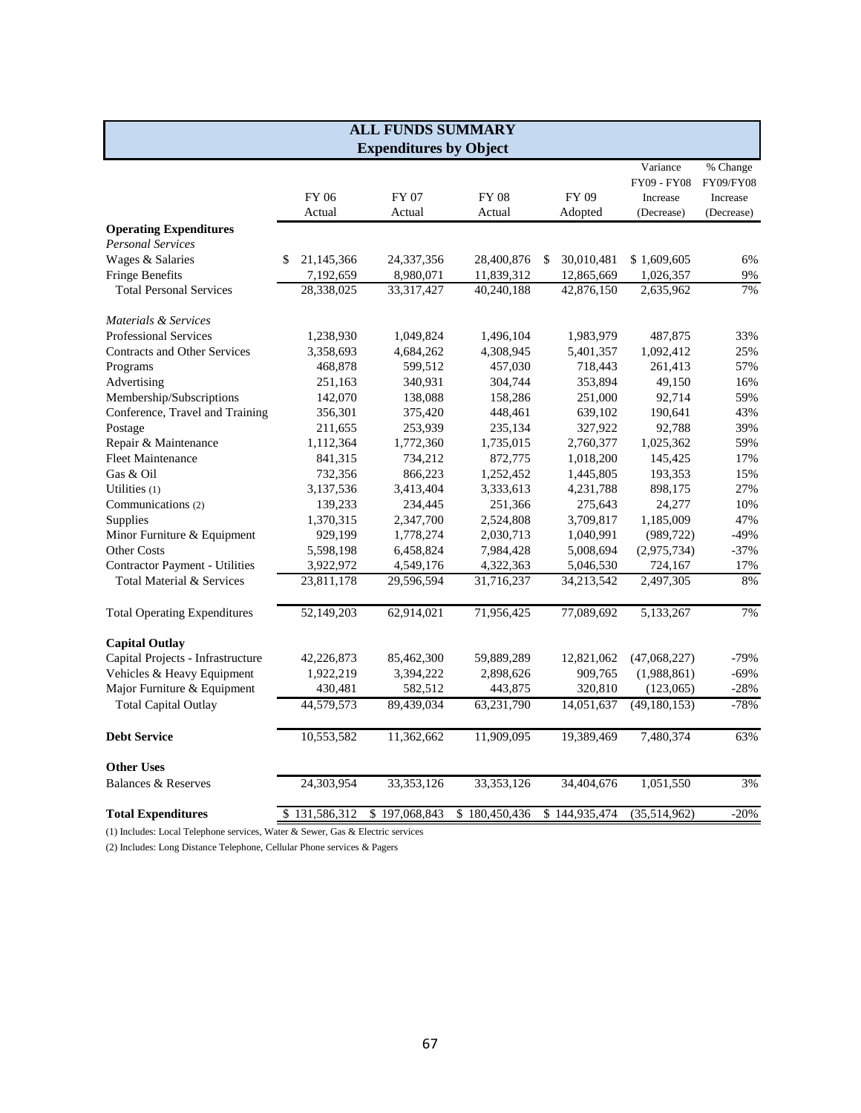|                                                                                |                  | <b>ALL FUNDS SUMMARY</b>      |               |                  |                        |                        |
|--------------------------------------------------------------------------------|------------------|-------------------------------|---------------|------------------|------------------------|------------------------|
|                                                                                |                  | <b>Expenditures by Object</b> |               |                  |                        |                        |
|                                                                                |                  |                               |               |                  | Variance               | % Change               |
|                                                                                | FY 06            |                               | <b>FY 08</b>  | FY 09            | FY09 - FY08            | FY09/FY08              |
|                                                                                | Actual           | FY 07<br>Actual               | Actual        | Adopted          | Increase<br>(Decrease) | Increase<br>(Decrease) |
|                                                                                |                  |                               |               |                  |                        |                        |
| <b>Operating Expenditures</b><br><b>Personal Services</b>                      |                  |                               |               |                  |                        |                        |
| Wages & Salaries                                                               | 21,145,366<br>S. | 24,337,356                    | 28,400,876    | 30,010,481<br>\$ | \$1,609,605            | 6%                     |
| <b>Fringe Benefits</b>                                                         |                  |                               |               |                  |                        | $9\%$                  |
|                                                                                | 7,192,659        | 8,980,071                     | 11,839,312    | 12,865,669       | 1,026,357              |                        |
| <b>Total Personal Services</b>                                                 | 28,338,025       | 33, 317, 427                  | 40,240,188    | 42,876,150       | 2,635,962              | 7%                     |
| Materials & Services                                                           |                  |                               |               |                  |                        |                        |
| <b>Professional Services</b>                                                   | 1,238,930        | 1,049,824                     | 1,496,104     | 1,983,979        | 487,875                | 33%                    |
| <b>Contracts and Other Services</b>                                            | 3,358,693        | 4,684,262                     | 4,308,945     | 5,401,357        | 1,092,412              | 25%                    |
| Programs                                                                       | 468,878          | 599,512                       | 457,030       | 718,443          | 261,413                | 57%                    |
| Advertising                                                                    | 251,163          | 340,931                       | 304,744       | 353,894          | 49,150                 | 16%                    |
| Membership/Subscriptions                                                       | 142,070          | 138,088                       | 158,286       | 251,000          | 92,714                 | 59%                    |
| Conference, Travel and Training                                                | 356,301          | 375,420                       | 448,461       | 639,102          | 190,641                | 43%                    |
| Postage                                                                        | 211,655          | 253,939                       | 235,134       | 327,922          | 92,788                 | 39%                    |
| Repair & Maintenance                                                           | 1,112,364        | 1,772,360                     | 1,735,015     | 2,760,377        | 1,025,362              | 59%                    |
| <b>Fleet Maintenance</b>                                                       | 841,315          | 734,212                       | 872,775       | 1,018,200        | 145,425                | 17%                    |
| Gas & Oil                                                                      | 732,356          | 866,223                       | 1,252,452     | 1,445,805        | 193,353                | 15%                    |
| Utilities (1)                                                                  | 3,137,536        | 3,413,404                     | 3,333,613     | 4,231,788        | 898,175                | 27%                    |
| Communications (2)                                                             | 139,233          | 234,445                       | 251,366       | 275,643          | 24,277                 | 10%                    |
| Supplies                                                                       | 1,370,315        | 2,347,700                     | 2,524,808     | 3,709,817        | 1,185,009              | 47%                    |
| Minor Furniture & Equipment                                                    | 929,199          | 1,778,274                     | 2,030,713     | 1,040,991        | (989, 722)             | $-49%$                 |
| Other Costs                                                                    | 5,598,198        | 6,458,824                     | 7,984,428     | 5,008,694        | (2,975,734)            | $-37%$                 |
| <b>Contractor Payment - Utilities</b>                                          | 3,922,972        | 4,549,176                     | 4,322,363     | 5,046,530        | 724,167                | 17%                    |
| Total Material & Services                                                      | 23,811,178       | 29,596,594                    | 31,716,237    | 34,213,542       | 2,497,305              | 8%                     |
|                                                                                |                  |                               |               |                  |                        |                        |
| <b>Total Operating Expenditures</b>                                            | 52,149,203       | 62,914,021                    | 71,956,425    | 77,089,692       | 5,133,267              | 7%                     |
| <b>Capital Outlay</b>                                                          |                  |                               |               |                  |                        |                        |
| Capital Projects - Infrastructure                                              | 42,226,873       | 85,462,300                    | 59,889,289    | 12,821,062       | (47,068,227)           | $-79%$                 |
| Vehicles & Heavy Equipment                                                     | 1,922,219        | 3,394,222                     | 2,898,626     | 909,765          | (1,988,861)            | $-69%$                 |
| Major Furniture & Equipment                                                    | 430,481          | 582,512                       | 443,875       | 320,810          | (123,065)              | $-28%$                 |
| <b>Total Capital Outlay</b>                                                    | 44,579,573       | 89,439,034                    | 63,231,790    | 14,051,637       | (49, 180, 153)         | $-78%$                 |
|                                                                                |                  |                               |               |                  |                        |                        |
| <b>Debt Service</b>                                                            | 10,553,582       | 11,362,662                    | 11,909,095    | 19,389,469       | 7,480,374              | 63%                    |
| <b>Other Uses</b>                                                              |                  |                               |               |                  |                        |                        |
| <b>Balances &amp; Reserves</b>                                                 | 24,303,954       | 33,353,126                    | 33, 353, 126  | 34,404,676       | 1,051,550              | 3%                     |
| <b>Total Expenditures</b>                                                      | \$131,586,312    | \$197,068,843                 | \$180,450,436 | \$144,935,474    | (35,514,962)           | $-20%$                 |
| (1) Includes: Local Telephone services, Water & Sewer, Gas & Electric services |                  |                               |               |                  |                        |                        |

(2) Includes: Long Distance Telephone, Cellular Phone services & Pagers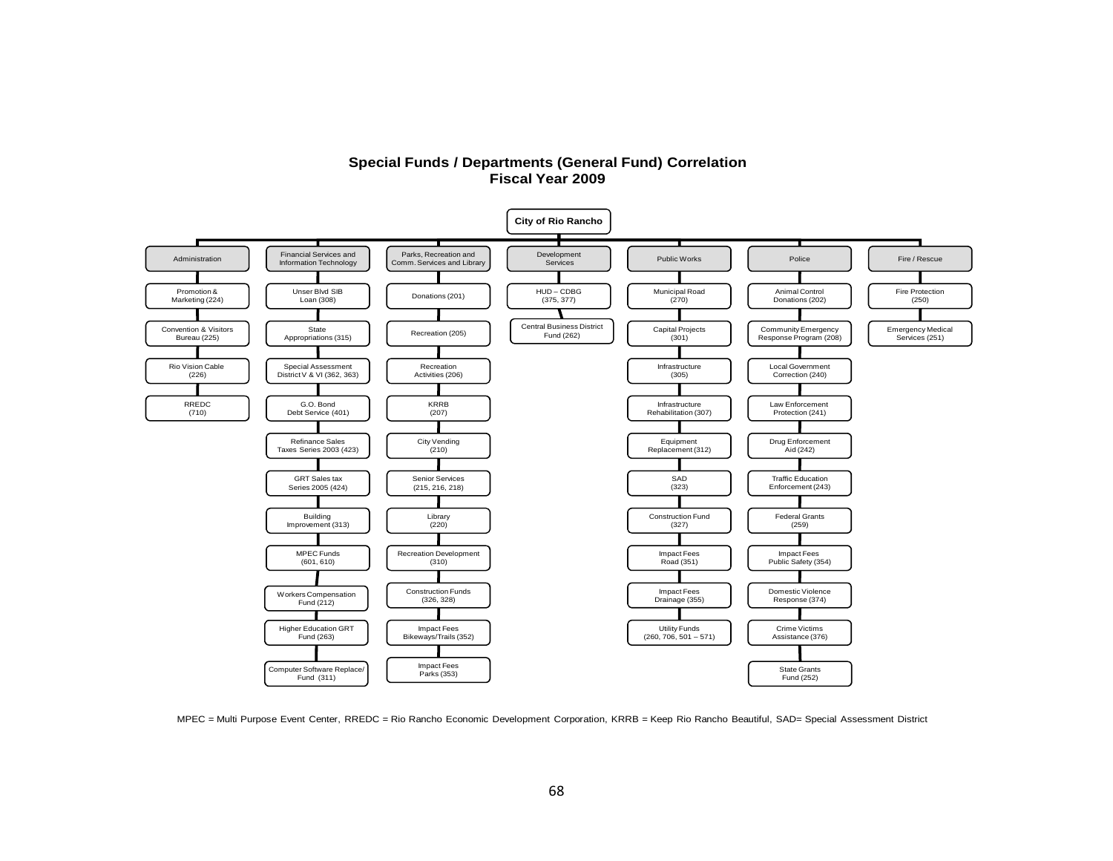#### **Special Funds / Departments (General Fund) Correlation Fiscal Year 2009**



MPEC = Multi Purpose Event Center, RREDC = Rio Rancho Economic Development Corporation, KRRB = Keep Rio Rancho Beautiful, SAD= Special Assessment District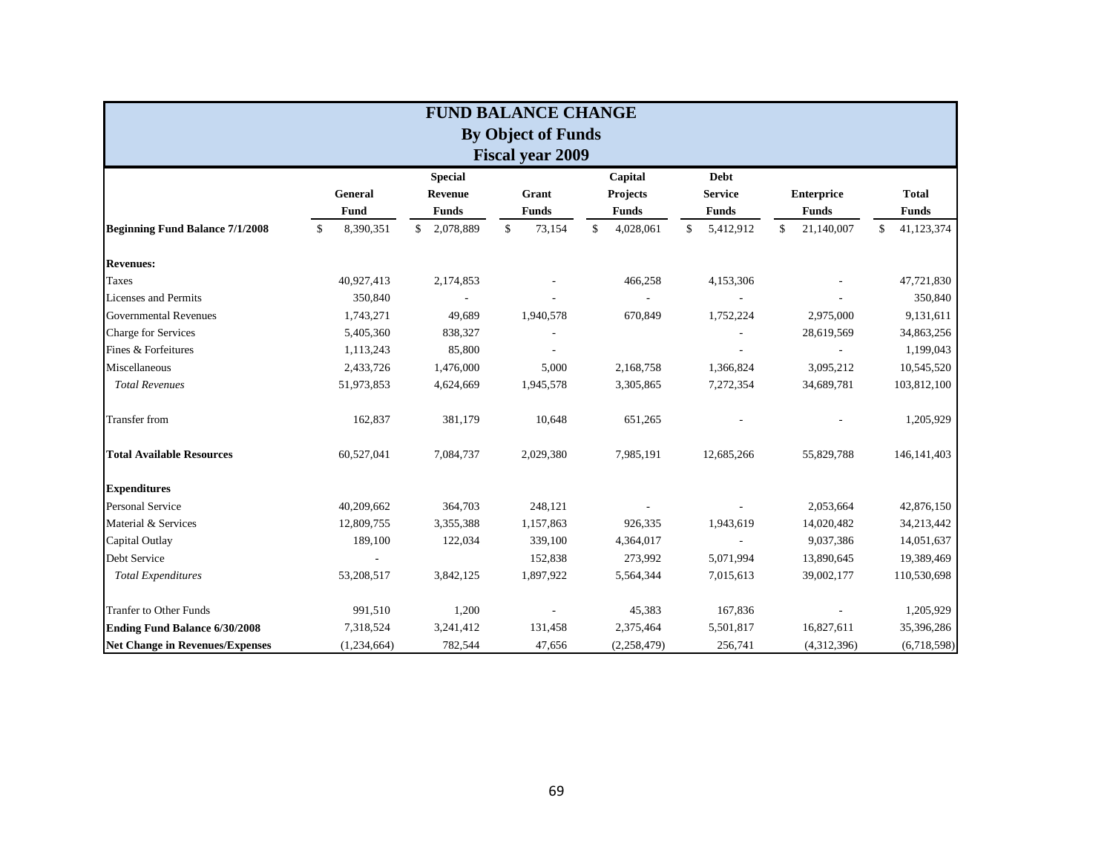|                                        |                 |                 | <b>FUND BALANCE CHANGE</b> |                 |                 |                   |                  |
|----------------------------------------|-----------------|-----------------|----------------------------|-----------------|-----------------|-------------------|------------------|
|                                        |                 |                 | <b>By Object of Funds</b>  |                 |                 |                   |                  |
|                                        |                 |                 | <b>Fiscal year 2009</b>    |                 |                 |                   |                  |
|                                        |                 | <b>Special</b>  |                            | Capital         | <b>Debt</b>     |                   |                  |
|                                        | General         | <b>Revenue</b>  | Grant                      | Projects        | <b>Service</b>  | <b>Enterprice</b> | <b>Total</b>     |
|                                        | Fund            | <b>Funds</b>    | <b>Funds</b>               | <b>Funds</b>    | <b>Funds</b>    | <b>Funds</b>      | <b>Funds</b>     |
| <b>Beginning Fund Balance 7/1/2008</b> | 8,390,351<br>\$ | \$<br>2,078,889 | \$<br>73,154               | \$<br>4,028,061 | 5,412,912<br>\$ | \$<br>21,140,007  | 41,123,374<br>\$ |
| <b>Revenues:</b>                       |                 |                 |                            |                 |                 |                   |                  |
| <b>Taxes</b>                           | 40,927,413      | 2,174,853       |                            | 466,258         | 4,153,306       |                   | 47,721,830       |
| Licenses and Permits                   | 350,840         |                 |                            |                 |                 |                   | 350,840          |
| <b>Governmental Revenues</b>           | 1,743,271       | 49,689          | 1,940,578                  | 670,849         | 1,752,224       | 2,975,000         | 9,131,611        |
| Charge for Services                    | 5,405,360       | 838,327         |                            |                 |                 | 28,619,569        | 34,863,256       |
| Fines & Forfeitures                    | 1,113,243       | 85,800          |                            |                 |                 |                   | 1,199,043        |
| Miscellaneous                          | 2,433,726       | 1,476,000       | 5,000                      | 2,168,758       | 1,366,824       | 3,095,212         | 10,545,520       |
| <b>Total Revenues</b>                  | 51,973,853      | 4,624,669       | 1,945,578                  | 3,305,865       | 7,272,354       | 34,689,781        | 103,812,100      |
| <b>Transfer</b> from                   | 162,837         | 381,179         | 10,648                     | 651,265         |                 |                   | 1,205,929        |
| <b>Total Available Resources</b>       | 60,527,041      | 7,084,737       | 2,029,380                  | 7,985,191       | 12,685,266      | 55,829,788        | 146, 141, 403    |
| <b>Expenditures</b>                    |                 |                 |                            |                 |                 |                   |                  |
| <b>Personal Service</b>                | 40,209,662      | 364,703         | 248,121                    |                 |                 | 2,053,664         | 42,876,150       |
| Material & Services                    | 12,809,755      | 3,355,388       | 1,157,863                  | 926,335         | 1,943,619       | 14,020,482        | 34,213,442       |
| Capital Outlay                         | 189,100         | 122,034         | 339,100                    | 4,364,017       |                 | 9,037,386         | 14,051,637       |
| Debt Service                           |                 |                 | 152,838                    | 273,992         | 5,071,994       | 13,890,645        | 19,389,469       |
| <b>Total Expenditures</b>              | 53,208,517      | 3,842,125       | 1,897,922                  | 5,564,344       | 7,015,613       | 39,002,177        | 110,530,698      |
| <b>Tranfer to Other Funds</b>          | 991,510         | 1,200           |                            | 45,383          | 167,836         |                   | 1,205,929        |
| <b>Ending Fund Balance 6/30/2008</b>   | 7,318,524       | 3,241,412       | 131,458                    | 2,375,464       | 5,501,817       | 16,827,611        | 35,396,286       |
| <b>Net Change in Revenues/Expenses</b> | (1,234,664)     | 782,544         | 47,656                     | (2, 258, 479)   | 256,741         | (4,312,396)       | (6,718,598)      |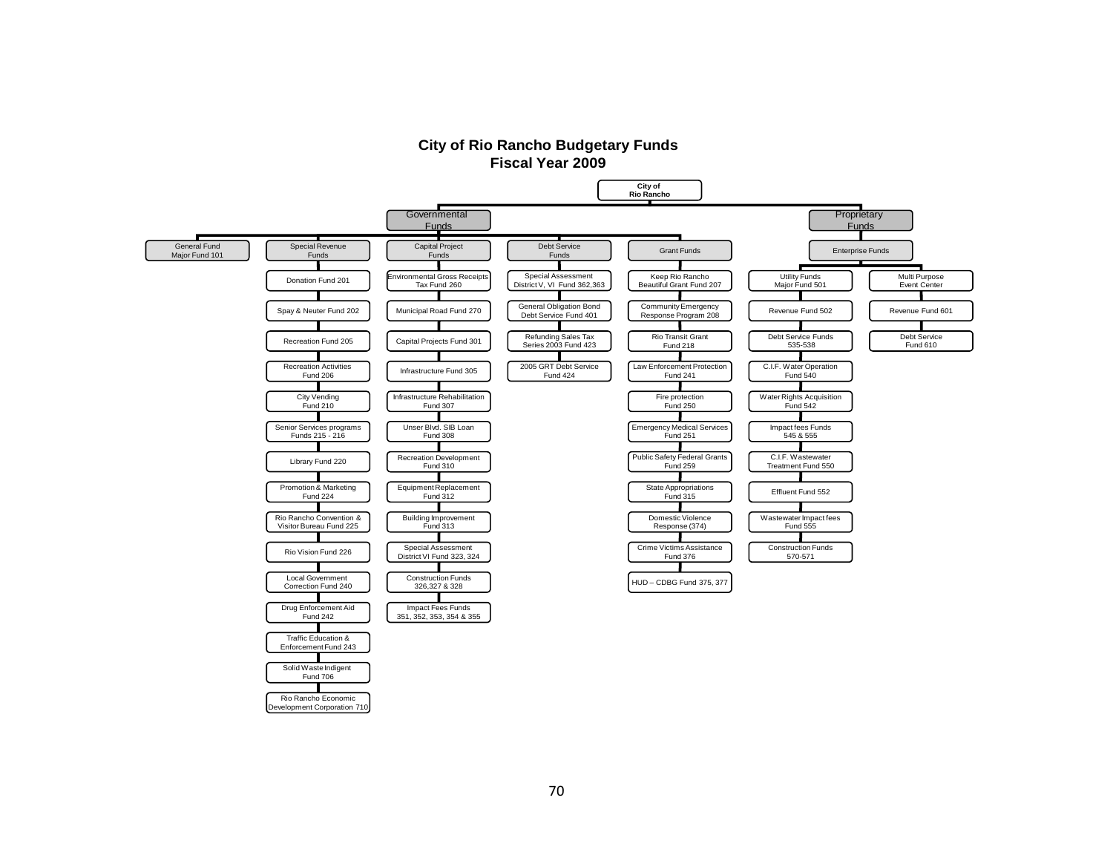### **City of Rio Rancho Budgetary Funds Fiscal Year 2009**



Development Corporation 710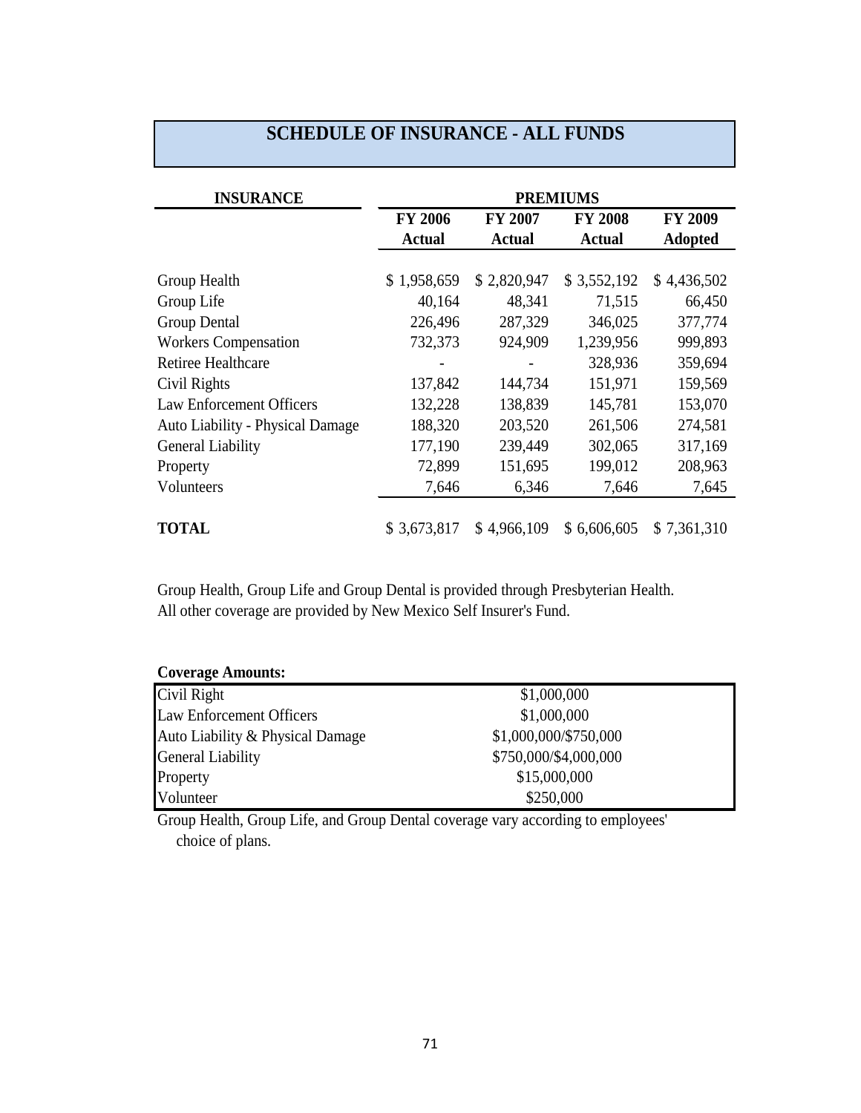| <b>INSURANCE</b>                        |                |                | <b>PREMIUMS</b> |                |
|-----------------------------------------|----------------|----------------|-----------------|----------------|
|                                         | <b>FY 2006</b> | <b>FY 2007</b> | <b>FY 2008</b>  | FY 2009        |
|                                         | <b>Actual</b>  | <b>Actual</b>  | <b>Actual</b>   | <b>Adopted</b> |
|                                         |                |                |                 |                |
| Group Health                            | \$1,958,659    | \$2,820,947    | \$3,552,192     | \$4,436,502    |
| Group Life                              | 40,164         | 48,341         | 71,515          | 66,450         |
| <b>Group Dental</b>                     | 226,496        | 287,329        | 346,025         | 377,774        |
| <b>Workers Compensation</b>             | 732,373        | 924,909        | 1,239,956       | 999,893        |
| <b>Retiree Healthcare</b>               |                |                | 328,936         | 359,694        |
| Civil Rights                            | 137,842        | 144,734        | 151,971         | 159,569        |
| <b>Law Enforcement Officers</b>         | 132,228        | 138,839        | 145,781         | 153,070        |
| <b>Auto Liability - Physical Damage</b> | 188,320        | 203,520        | 261,506         | 274,581        |
| General Liability                       | 177,190        | 239,449        | 302,065         | 317,169        |
| Property                                | 72,899         | 151,695        | 199,012         | 208,963        |
| Volunteers                              | 7,646          | 6,346          | 7,646           | 7,645          |
| <b>TOTAL</b>                            | \$3,673,817    | \$4,966,109    | \$6,606,605     | \$7,361,310    |

# **SCHEDULE OF INSURANCE - ALL FUNDS**

Group Health, Group Life and Group Dental is provided through Presbyterian Health. All other coverage are provided by New Mexico Self Insurer's Fund.

| <b>Coverage Amounts:</b>         |                       |  |
|----------------------------------|-----------------------|--|
| Civil Right                      | \$1,000,000           |  |
| <b>Law Enforcement Officers</b>  | \$1,000,000           |  |
| Auto Liability & Physical Damage | \$1,000,000/\$750,000 |  |
| <b>General Liability</b>         | \$750,000/\$4,000,000 |  |
| Property                         | \$15,000,000          |  |
| Volunteer                        | \$250,000             |  |

Group Health, Group Life, and Group Dental coverage vary according to employees' choice of plans.